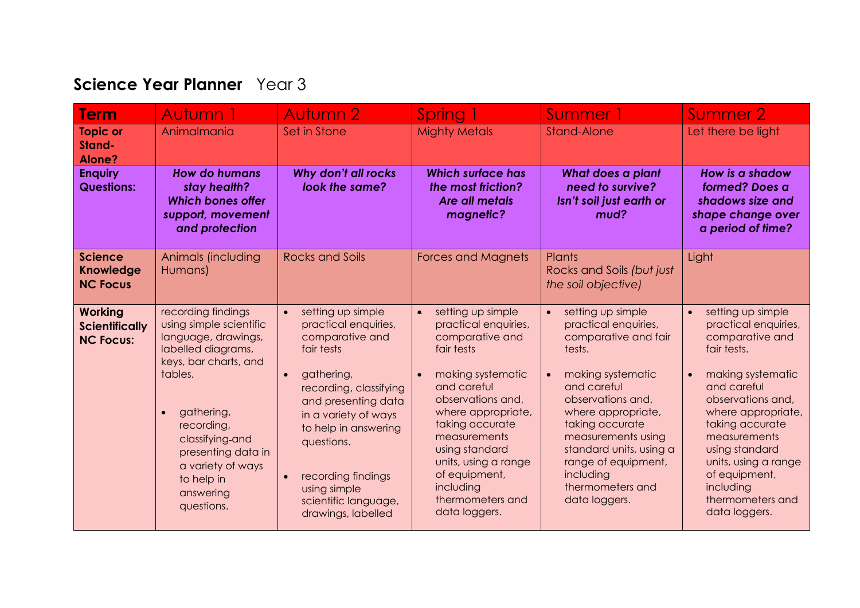## **Science Year Planner** Year 3

| <b>Term</b>                                                 | Autumn 1                                                                                                                                                                                                                                                          | <b>Autumn 2</b>                                                                                                                                                                                                                                                                                                                    | Spring 1                                                                                                                                                                                                                                                                                                               | Summer 1                                                                                                                                                                                                                                                                                                                          | Summer 2                                                                                                                                                                                                                                                                                                                             |
|-------------------------------------------------------------|-------------------------------------------------------------------------------------------------------------------------------------------------------------------------------------------------------------------------------------------------------------------|------------------------------------------------------------------------------------------------------------------------------------------------------------------------------------------------------------------------------------------------------------------------------------------------------------------------------------|------------------------------------------------------------------------------------------------------------------------------------------------------------------------------------------------------------------------------------------------------------------------------------------------------------------------|-----------------------------------------------------------------------------------------------------------------------------------------------------------------------------------------------------------------------------------------------------------------------------------------------------------------------------------|--------------------------------------------------------------------------------------------------------------------------------------------------------------------------------------------------------------------------------------------------------------------------------------------------------------------------------------|
| <b>Topic or</b><br>Stand-<br>Alone?                         | Animalmania                                                                                                                                                                                                                                                       | Set in Stone                                                                                                                                                                                                                                                                                                                       | <b>Mighty Metals</b>                                                                                                                                                                                                                                                                                                   | <b>Stand-Alone</b>                                                                                                                                                                                                                                                                                                                | Let there be light                                                                                                                                                                                                                                                                                                                   |
| <b>Enquiry</b><br><b>Questions:</b>                         | <b>How do humans</b><br>stay health?<br><b>Which bones offer</b><br>support, movement<br>and protection                                                                                                                                                           | Why don't all rocks<br>look the same?                                                                                                                                                                                                                                                                                              | <b>Which surface has</b><br>the most friction?<br>Are all metals<br>magnetic?                                                                                                                                                                                                                                          | What does a plant<br>need to survive?<br>Isn't soil just earth or<br>mud?                                                                                                                                                                                                                                                         | How is a shadow<br>formed? Does a<br>shadows size and<br>shape change over<br>a period of time?                                                                                                                                                                                                                                      |
| <b>Science</b><br><b>Knowledge</b><br><b>NC Focus</b>       | Animals (including<br>Humans)                                                                                                                                                                                                                                     | <b>Rocks and Soils</b>                                                                                                                                                                                                                                                                                                             | <b>Forces and Magnets</b>                                                                                                                                                                                                                                                                                              | Plants<br>Rocks and Soils (but just<br>the soil objective)                                                                                                                                                                                                                                                                        | Light                                                                                                                                                                                                                                                                                                                                |
| <b>Working</b><br><b>Scientifically</b><br><b>NC Focus:</b> | recording findings<br>using simple scientific<br>language, drawings,<br>labelled diagrams,<br>keys, bar charts, and<br>tables.<br>gathering,<br>recording,<br>classifying-and<br>presenting data in<br>a variety of ways<br>to help in<br>answering<br>questions. | setting up simple<br>$\bullet$<br>practical enquiries,<br>comparative and<br>fair tests<br>gathering,<br>$\bullet$<br>recording, classifying<br>and presenting data<br>in a variety of ways<br>to help in answering<br>questions.<br>recording findings<br>$\bullet$<br>using simple<br>scientific language,<br>drawings, labelled | setting up simple<br>$\bullet$<br>practical enquiries,<br>comparative and<br>fair tests<br>making systematic<br>and careful<br>observations and,<br>where appropriate,<br>taking accurate<br>measurements<br>using standard<br>units, using a range<br>of equipment,<br>including<br>thermometers and<br>data loggers. | setting up simple<br>$\bullet$<br>practical enquiries,<br>comparative and fair<br>tests.<br>making systematic<br>$\bullet$<br>and careful<br>observations and,<br>where appropriate,<br>taking accurate<br>measurements using<br>standard units, using a<br>range of equipment,<br>including<br>thermometers and<br>data loggers. | setting up simple<br>$\bullet$<br>practical enquiries,<br>comparative and<br>fair tests.<br>making systematic<br>$\bullet$<br>and careful<br>observations and,<br>where appropriate,<br>taking accurate<br>measurements<br>using standard<br>units, using a range<br>of equipment,<br>including<br>thermometers and<br>data loggers. |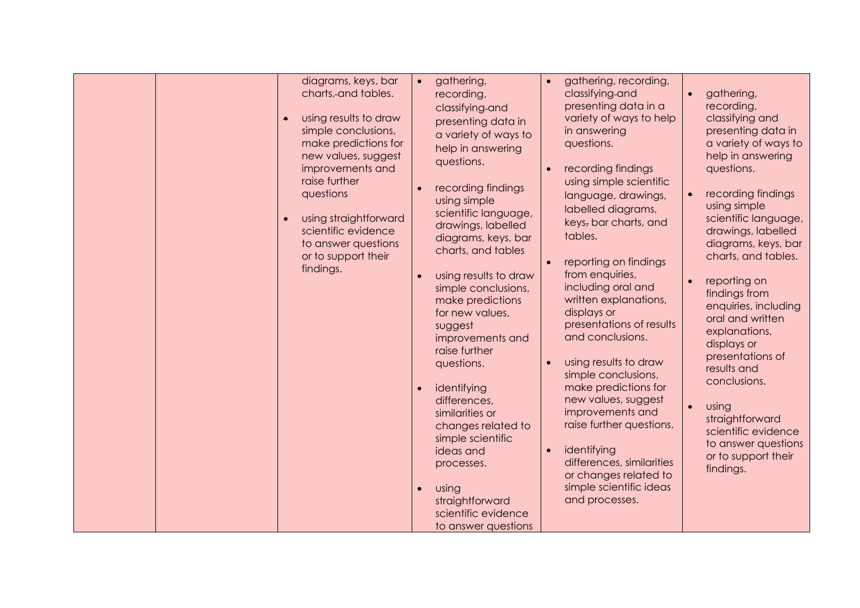| diagrams, keys, bar<br>charts, and tables.<br>using results to draw<br>simple conclusions,<br>make predictions for<br>new values, suggest<br>improvements and<br>raise further<br>questions<br>using straightforward<br>scientific evidence<br>to answer questions<br>or to support their<br>findings. | gathering,<br>$\bullet$<br>recording,<br>classifying-and<br>presenting data in<br>a variety of ways to<br>help in answering<br>questions.<br>recording findings<br>$\bullet$<br>using simple<br>scientific language,<br>drawings, labelled<br>diagrams, keys, bar<br>charts, and tables<br>using results to draw<br>$\bullet$<br>simple conclusions,<br>make predictions<br>for new values,<br>suggest<br>improvements and<br>raise further<br>questions.<br>identifying<br>$\bullet$<br>differences,<br>similarities or<br>changes related to<br>simple scientific<br>ideas and<br>processes.<br>using<br>$\bullet$<br>straightforward<br>scientific evidence<br>to answer questions | gathering, recording,<br>$\bullet$<br>classifying-and<br>presenting data in a<br>variety of ways to help<br>in answering<br>questions.<br>recording findings<br>$\bullet$<br>using simple scientific<br>language, drawings,<br>labelled diagrams,<br>keys, bar charts, and<br>tables.<br>reporting on findings<br>from enquiries,<br>including oral and<br>written explanations,<br>displays or<br>presentations of results<br>and conclusions.<br>using results to draw<br>$\bullet$<br>simple conclusions,<br>make predictions for<br>new values, suggest<br>improvements and<br>raise further questions.<br>identifying<br>$\bullet$<br>differences, similarities<br>or changes related to<br>simple scientific ideas<br>and processes. | gathering,<br>recording,<br>classifying and<br>presenting data in<br>a variety of ways to<br>help in answering<br>questions.<br>recording findings<br>$\bullet$<br>using simple<br>scientific language,<br>drawings, labelled<br>diagrams, keys, bar<br>charts, and tables.<br>reporting on<br>findings from<br>enquiries, including<br>oral and written<br>explanations,<br>displays or<br>presentations of<br>results and<br>conclusions.<br>using<br>$\bullet$<br>straightforward<br>scientific evidence<br>to answer questions<br>or to support their<br>findings. |
|--------------------------------------------------------------------------------------------------------------------------------------------------------------------------------------------------------------------------------------------------------------------------------------------------------|---------------------------------------------------------------------------------------------------------------------------------------------------------------------------------------------------------------------------------------------------------------------------------------------------------------------------------------------------------------------------------------------------------------------------------------------------------------------------------------------------------------------------------------------------------------------------------------------------------------------------------------------------------------------------------------|--------------------------------------------------------------------------------------------------------------------------------------------------------------------------------------------------------------------------------------------------------------------------------------------------------------------------------------------------------------------------------------------------------------------------------------------------------------------------------------------------------------------------------------------------------------------------------------------------------------------------------------------------------------------------------------------------------------------------------------------|------------------------------------------------------------------------------------------------------------------------------------------------------------------------------------------------------------------------------------------------------------------------------------------------------------------------------------------------------------------------------------------------------------------------------------------------------------------------------------------------------------------------------------------------------------------------|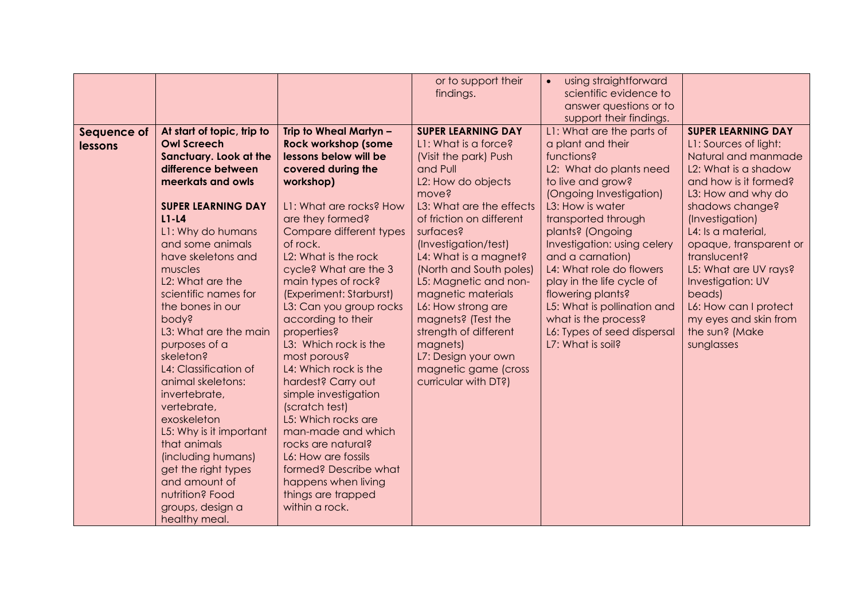|             |                                                  |                                                     | or to support their                               | using straightforward<br>$\bullet$ |                                              |
|-------------|--------------------------------------------------|-----------------------------------------------------|---------------------------------------------------|------------------------------------|----------------------------------------------|
|             |                                                  |                                                     | findings.                                         | scientific evidence to             |                                              |
|             |                                                  |                                                     |                                                   | answer questions or to             |                                              |
|             |                                                  |                                                     |                                                   | support their findings.            |                                              |
| Sequence of | At start of topic, trip to<br><b>Owl Screech</b> | Trip to Wheal Martyn -                              | <b>SUPER LEARNING DAY</b><br>L1: What is a force? | L1: What are the parts of          | <b>SUPER LEARNING DAY</b>                    |
| lessons     | Sanctuary. Look at the                           | <b>Rock workshop (some</b><br>lessons below will be | (Visit the park) Push                             | a plant and their<br>functions?    | L1: Sources of light:<br>Natural and manmade |
|             | difference between                               | covered during the                                  | and Pull                                          | L2: What do plants need            | L2: What is a shadow                         |
|             | meerkats and owls                                | workshop)                                           | L2: How do objects                                | to live and grow?                  | and how is it formed?                        |
|             |                                                  |                                                     | move?                                             | (Ongoing Investigation)            | L3: How and why do                           |
|             | <b>SUPER LEARNING DAY</b>                        | L1: What are rocks? How                             | L3: What are the effects                          | L3: How is water                   | shadows change?                              |
|             | $L1-L4$                                          | are they formed?                                    | of friction on different                          | transported through                | (Investigation)                              |
|             | L1: Why do humans                                | Compare different types                             | surfaces?                                         | plants? (Ongoing                   | L4: Is a material,                           |
|             | and some animals                                 | of rock.                                            | (Investigation/test)                              | Investigation: using celery        | opaque, transparent or                       |
|             | have skeletons and                               | L2: What is the rock                                | L4: What is a magnet?                             | and a carnation)                   | translucent?                                 |
|             | muscles                                          | cycle? What are the 3                               | (North and South poles)                           | L4: What role do flowers           | L5: What are UV rays?                        |
|             | L <sub>2</sub> : What are the                    | main types of rock?                                 | L5: Magnetic and non-                             | play in the life cycle of          | Investigation: UV                            |
|             | scientific names for                             | (Experiment: Starburst)                             | magnetic materials                                | flowering plants?                  | beads)                                       |
|             | the bones in our                                 | L3: Can you group rocks                             | L6: How strong are                                | L5: What is pollination and        | L6: How can I protect                        |
|             | pody?                                            | according to their                                  | magnets? (Test the                                | what is the process?               | my eyes and skin from                        |
|             | L3: What are the main                            | properties?                                         | strength of different                             | L6: Types of seed dispersal        | the sun? (Make                               |
|             | purposes of a<br>skeleton?                       | L3: Which rock is the                               | magnets)                                          | L7: What is soil?                  | sunglasses                                   |
|             | L4: Classification of                            | most porous?<br>L4: Which rock is the               | L7: Design your own<br>magnetic game (cross       |                                    |                                              |
|             | animal skeletons:                                | hardest? Carry out                                  | curricular with DT?)                              |                                    |                                              |
|             | invertebrate,                                    | simple investigation                                |                                                   |                                    |                                              |
|             | vertebrate,                                      | (scratch test)                                      |                                                   |                                    |                                              |
|             | exoskeleton                                      | L5: Which rocks are                                 |                                                   |                                    |                                              |
|             | L5: Why is it important                          | man-made and which                                  |                                                   |                                    |                                              |
|             | that animals                                     | rocks are natural?                                  |                                                   |                                    |                                              |
|             | (including humans)                               | L6: How are fossils                                 |                                                   |                                    |                                              |
|             | get the right types                              | formed? Describe what                               |                                                   |                                    |                                              |
|             | and amount of                                    | happens when living                                 |                                                   |                                    |                                              |
|             | nutrition? Food                                  | things are trapped                                  |                                                   |                                    |                                              |
|             | groups, design a                                 | within a rock.                                      |                                                   |                                    |                                              |
|             | healthy meal.                                    |                                                     |                                                   |                                    |                                              |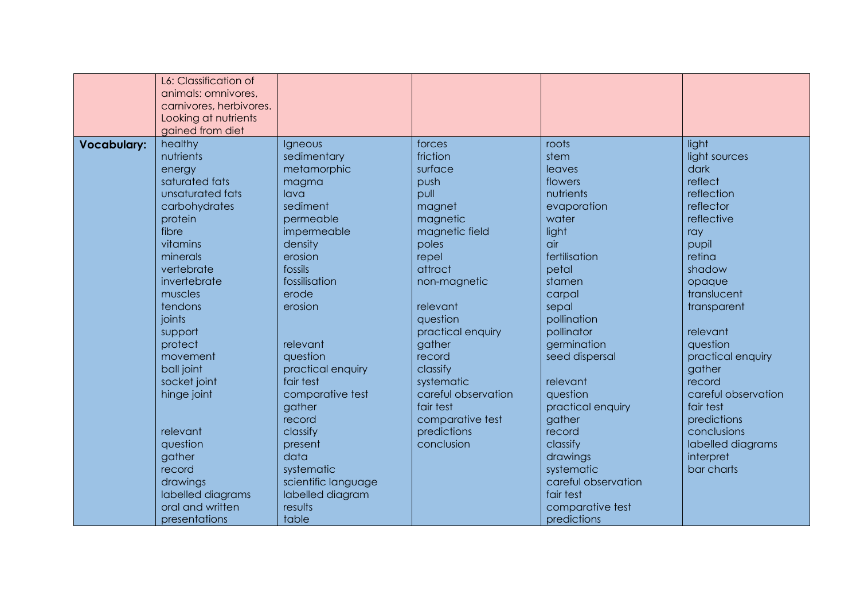|                    | L6: Classification of<br>animals: omnivores,<br>carnivores, herbivores.<br>Looking at nutrients |                     |                     |                     |                     |
|--------------------|-------------------------------------------------------------------------------------------------|---------------------|---------------------|---------------------|---------------------|
|                    | gained from diet                                                                                |                     |                     |                     |                     |
| <b>Vocabulary:</b> | healthy                                                                                         | Igneous             | forces              | roots               | light               |
|                    | nutrients                                                                                       | sedimentary         | friction            | stem                | light sources       |
|                    | energy                                                                                          | metamorphic         | surface             | leaves              | dark                |
|                    | saturated fats                                                                                  | magma               | push                | flowers             | reflect             |
|                    | unsaturated fats                                                                                | lava                | pull                | nutrients           | reflection          |
|                    | carbohydrates                                                                                   | sediment            | magnet              | evaporation         | reflector           |
|                    | protein                                                                                         | permeable           | magnetic            | water               | reflective          |
|                    | fibre                                                                                           | impermeable         | magnetic field      | light               | ray                 |
|                    | vitamins                                                                                        | density             | poles               | air                 | pupil               |
|                    | minerals                                                                                        | erosion             | repel               | fertilisation       | retina              |
|                    | vertebrate                                                                                      | fossils             | attract             | petal               | shadow              |
|                    | invertebrate                                                                                    | fossilisation       | non-magnetic        | stamen              | opaque              |
|                    | muscles                                                                                         | erode               |                     | carpal              | translucent         |
|                    | tendons                                                                                         | erosion             | relevant            | sepal               | transparent         |
|                    | joints                                                                                          |                     | question            | pollination         |                     |
|                    | support                                                                                         |                     | practical enquiry   | pollinator          | relevant            |
|                    | protect                                                                                         | relevant            | gather              | germination         | question            |
|                    | movement                                                                                        | question            | record              | seed dispersal      | practical enquiry   |
|                    | ball joint                                                                                      | practical enquiry   | classify            |                     | gather              |
|                    | socket joint                                                                                    | fair test           | systematic          | relevant            | record              |
|                    | hinge joint                                                                                     | comparative test    | careful observation | question            | careful observation |
|                    |                                                                                                 | gather              | fair test           | practical enquiry   | fair test           |
|                    |                                                                                                 | record              | comparative test    | gather              | predictions         |
|                    | relevant                                                                                        | classify            | predictions         | record              | conclusions         |
|                    | question                                                                                        | present             | conclusion          | classify            | labelled diagrams   |
|                    | gather                                                                                          | data                |                     | drawings            | interpret           |
|                    | record                                                                                          | systematic          |                     | systematic          | bar charts          |
|                    | drawings                                                                                        | scientific language |                     | careful observation |                     |
|                    | labelled diagrams                                                                               | labelled diagram    |                     | fair test           |                     |
|                    | oral and written                                                                                | results             |                     | comparative test    |                     |
|                    | presentations                                                                                   | table               |                     | predictions         |                     |